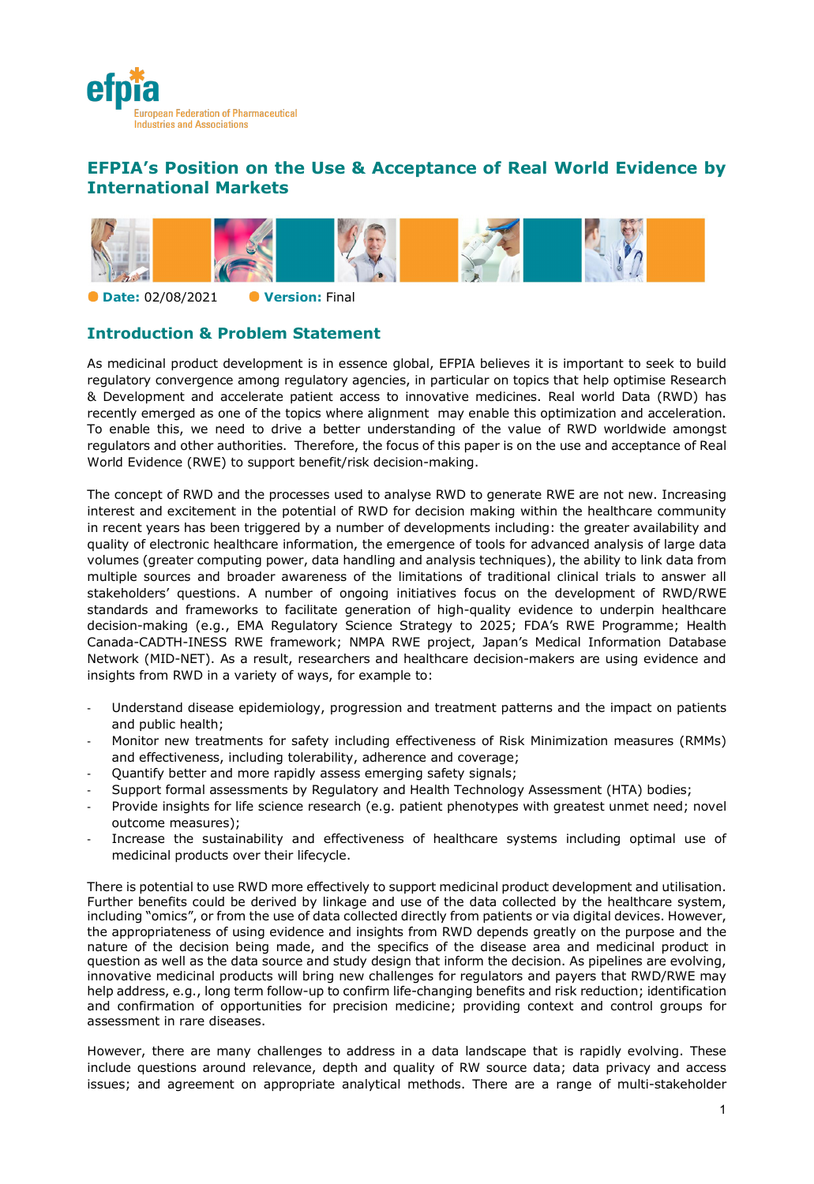

# **EFPIA's Position on the Use & Acceptance of Real World Evidence by International Markets**



**Date:** 02/08/2021 **Version:** Final

# **Introduction & Problem Statement**

As medicinal product development is in essence global, EFPIA believes it is important to seek to build regulatory convergence among regulatory agencies, in particular on topics that help optimise Research & Development and accelerate patient access to innovative medicines. Real world Data (RWD) has recently emerged as one of the topics where alignment may enable this optimization and acceleration. To enable this, we need to drive a better understanding of the value of RWD worldwide amongst regulators and other authorities. Therefore, the focus of this paper is on the use and acceptance of Real World Evidence (RWE) to support benefit/risk decision-making.

The concept of RWD and the processes used to analyse RWD to generate RWE are not new. Increasing interest and excitement in the potential of RWD for decision making within the healthcare community in recent years has been triggered by a number of developments including: the greater availability and quality of electronic healthcare information, the emergence of tools for advanced analysis of large data volumes (greater computing power, data handling and analysis techniques), the ability to link data from multiple sources and broader awareness of the limitations of traditional clinical trials to answer all stakeholders' questions. A number of ongoing initiatives focus on the development of RWD/RWE standards and frameworks to facilitate generation of high-quality evidence to underpin healthcare decision-making (e.g., EMA Regulatory Science Strategy to 2025; FDA's RWE Programme; Health Canada-CADTH-INESS RWE framework; NMPA RWE project, Japan's Medical Information Database Network (MID-NET). As a result, researchers and healthcare decision-makers are using evidence and insights from RWD in a variety of ways, for example to:

- Understand disease epidemiology, progression and treatment patterns and the impact on patients and public health;
- Monitor new treatments for safety including effectiveness of Risk Minimization measures (RMMs) and effectiveness, including tolerability, adherence and coverage;
- Quantify better and more rapidly assess emerging safety signals;
- Support formal assessments by Regulatory and Health Technology Assessment (HTA) bodies;
- Provide insights for life science research (e.g. patient phenotypes with greatest unmet need; novel outcome measures);
- Increase the sustainability and effectiveness of healthcare systems including optimal use of medicinal products over their lifecycle.

There is potential to use RWD more effectively to support medicinal product development and utilisation. Further benefits could be derived by linkage and use of the data collected by the healthcare system, including "omics", or from the use of data collected directly from patients or via digital devices. However, the appropriateness of using evidence and insights from RWD depends greatly on the purpose and the nature of the decision being made, and the specifics of the disease area and medicinal product in question as well as the data source and study design that inform the decision. As pipelines are evolving, innovative medicinal products will bring new challenges for regulators and payers that RWD/RWE may help address, e.g., long term follow-up to confirm life-changing benefits and risk reduction; identification and confirmation of opportunities for precision medicine; providing context and control groups for assessment in rare diseases.

However, there are many challenges to address in a data landscape that is rapidly evolving. These include questions around relevance, depth and quality of RW source data; data privacy and access issues; and agreement on appropriate analytical methods. There are a range of multi-stakeholder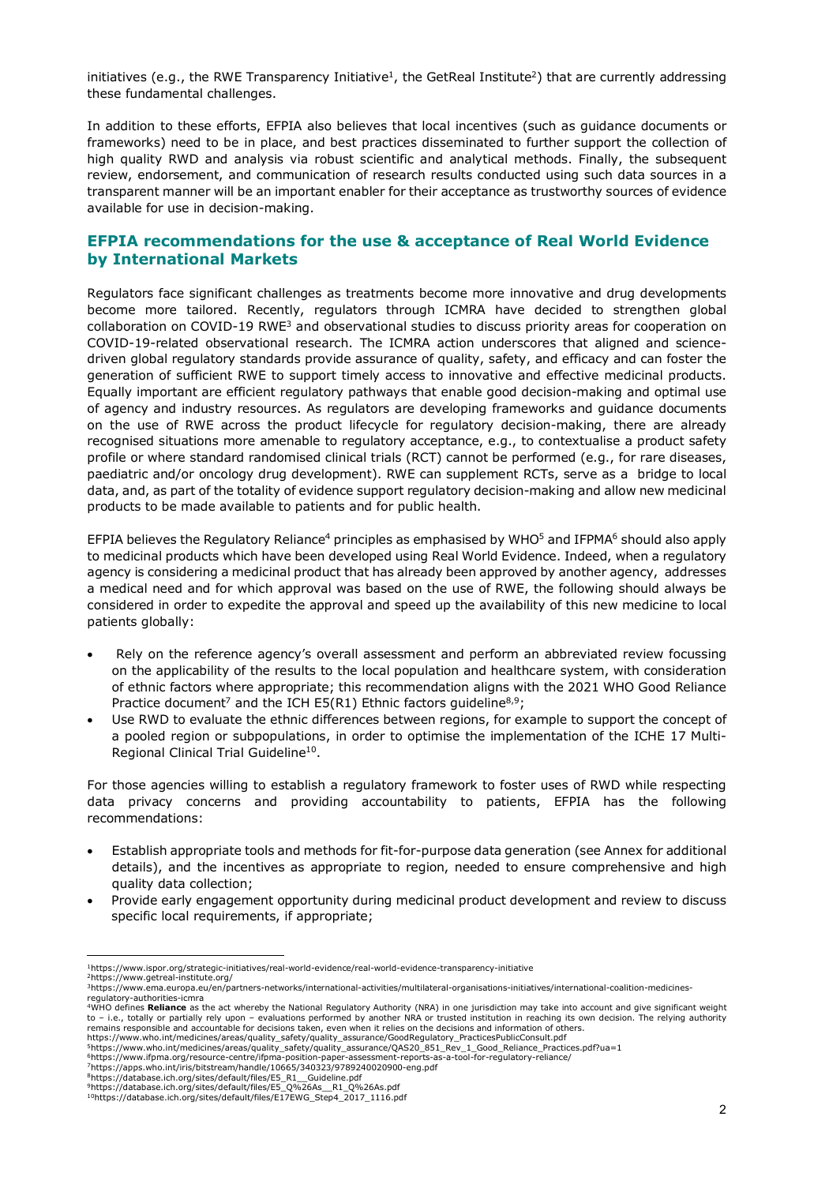initiatives (e.g., the RWE Transparency Initiative<sup>1</sup>, the GetReal Institute<sup>2</sup>) that are currently addressing these fundamental challenges.

In addition to these efforts, EFPIA also believes that local incentives (such as guidance documents or frameworks) need to be in place, and best practices disseminated to further support the collection of high quality RWD and analysis via robust scientific and analytical methods. Finally, the subsequent review, endorsement, and communication of research results conducted using such data sources in a transparent manner will be an important enabler for their acceptance as trustworthy sources of evidence available for use in decision-making.

## **EFPIA recommendations for the use & acceptance of Real World Evidence by International Markets**

Regulators face significant challenges as treatments become more innovative and drug developments become more tailored. Recently, regulators through ICMRA have decided to strengthen global collaboration on COVID-19 RWE<sup>3</sup> and observational studies to discuss priority areas for cooperation on COVID-19-related observational research. The ICMRA action underscores that aligned and sciencedriven global regulatory standards provide assurance of quality, safety, and efficacy and can foster the generation of sufficient RWE to support timely access to innovative and effective medicinal products. Equally important are efficient regulatory pathways that enable good decision-making and optimal use of agency and industry resources. As regulators are developing frameworks and guidance documents on the use of RWE across the product lifecycle for regulatory decision-making, there are already recognised situations more amenable to regulatory acceptance, e.g., to contextualise a product safety profile or where standard randomised clinical trials (RCT) cannot be performed (e.g., for rare diseases, paediatric and/or oncology drug development). RWE can supplement RCTs, serve as a bridge to local data, and, as part of the totality of evidence support regulatory decision-making and allow new medicinal products to be made available to patients and for public health.

EFPIA believes the Regulatory Reliance<sup>4</sup> principles as emphasised by WHO<sup>5</sup> and IFPMA<sup>6</sup> should also apply to medicinal products which have been developed using Real World Evidence. Indeed, when a regulatory agency is considering a medicinal product that has already been approved by another agency, addresses a medical need and for which approval was based on the use of RWE, the following should always be considered in order to expedite the approval and speed up the availability of this new medicine to local patients globally:

- Rely on the reference agency's overall assessment and perform an abbreviated review focussing on the applicability of the results to the local population and healthcare system, with consideration of ethnic factors where appropriate; this recommendation aligns with the 2021 WHO Good Reliance Practice document<sup>7</sup> and the ICH E5(R1) Ethnic factors guideline<sup>8,9</sup>;
- Use RWD to evaluate the ethnic differences between regions, for example to support the concept of a pooled region or subpopulations, in order to optimise the implementation of the ICHE 17 Multi-Regional Clinical Trial Guideline<sup>10</sup>.

For those agencies willing to establish a regulatory framework to foster uses of RWD while respecting data privacy concerns and providing accountability to patients, EFPIA has the following recommendations:

- Establish appropriate tools and methods for fit-for-purpose data generation (see Annex for additional details), and the incentives as appropriate to region, needed to ensure comprehensive and high quality data collection;
- Provide early engagement opportunity during medicinal product development and review to discuss specific local requirements, if appropriate;

l

<sup>&</sup>lt;sup>1</sup>https://www.ispor.org/strategic-initiatives/real-world-evidence/real-world-evidence-transparency-initiative<br><sup>2</sup>https://www.getreal-institute.org/<br><sup>3</sup>https://www.ema.europa.eu/en/partners-networks/international-activitie regulatory-authorities-icmra<br><sup>4</sup>WHO defines **Reliance** as the act whereby the National Regulatory Authority (NRA) in one jurisdiction may take into account and give significant weight

to – i.e., totally or partially rely upon – evaluations performed by another NRA or trusted institution in reaching its own decision. The relying authority remains responsible and accountable for decisions taken, even when it relies on the decisions and information of others.<br>https://www.who.int/medicines/areas/quality\_safety/quality\_assurance/GoodRegulatory\_PracticesPublicCo

https://www.who.int/medicines/areas/quality\_safety/quality\_assurance/GoodRegulatory\_PracticesPublicConsult.pdf<br><sup>5</sup>https://www.who.int/medicines/areas/quality\_safety/quality\_assurance/QAS20\_851\_Rev\_1\_Good\_Reliance\_Practices

<sup>8</sup>https://database.ich.org/sites/default/files/E5\_R1\_\_Guideline.pdf

<sup>9</sup>https://database.ich.org/sites/default/files/E5\_Q%26As\_\_R1\_Q%26As.pdf

<sup>10</sup>https://database.ich.org/sites/default/files/E17EWG\_Step4\_2017\_1116.pdf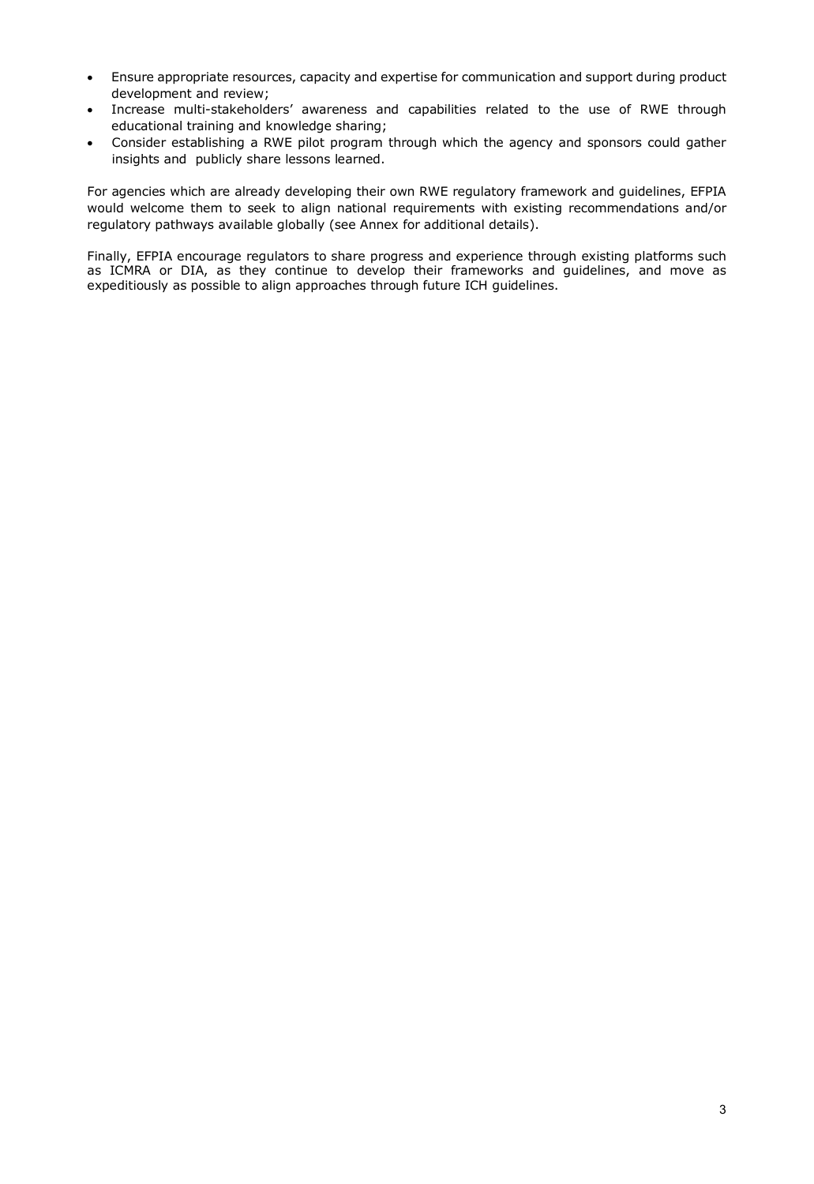- Ensure appropriate resources, capacity and expertise for communication and support during product development and review;
- Increase multi-stakeholders' awareness and capabilities related to the use of RWE through educational training and knowledge sharing;
- Consider establishing a RWE pilot program through which the agency and sponsors could gather insights and publicly share lessons learned.

For agencies which are already developing their own RWE regulatory framework and guidelines, EFPIA would welcome them to seek to align national requirements with existing recommendations and/or regulatory pathways available globally (see Annex for additional details).

Finally, EFPIA encourage regulators to share progress and experience through existing platforms such as ICMRA or DIA, as they continue to develop their frameworks and guidelines, and move as expeditiously as possible to align approaches through future ICH guidelines.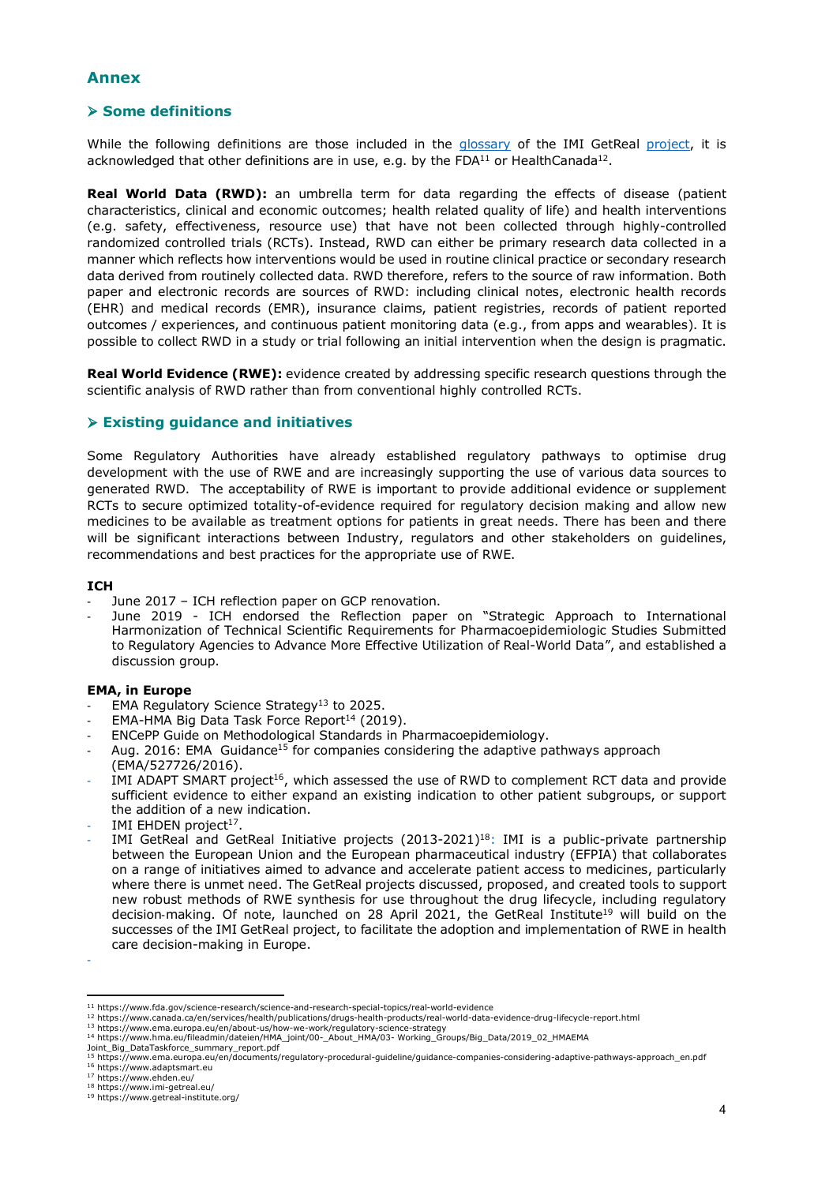## **Annex**

## Ø **Some definitions**

While the following definitions are those included in the glossary of the IMI GetReal project, it is acknowledged that other definitions are in use, e.g. by the FDA $^{11}$  or HealthCanada<sup>12</sup>.

**Real World Data (RWD):** an umbrella term for data regarding the effects of disease (patient characteristics, clinical and economic outcomes; health related quality of life) and health interventions (e.g. safety, effectiveness, resource use) that have not been collected through highly-controlled randomized controlled trials (RCTs). Instead, RWD can either be primary research data collected in a manner which reflects how interventions would be used in routine clinical practice or secondary research data derived from routinely collected data. RWD therefore, refers to the source of raw information. Both paper and electronic records are sources of RWD: including clinical notes, electronic health records (EHR) and medical records (EMR), insurance claims, patient registries, records of patient reported outcomes / experiences, and continuous patient monitoring data (e.g., from apps and wearables). It is possible to collect RWD in a study or trial following an initial intervention when the design is pragmatic.

**Real World Evidence (RWE):** evidence created by addressing specific research questions through the scientific analysis of RWD rather than from conventional highly controlled RCTs.

## Ø **Existing guidance and initiatives**

Some Regulatory Authorities have already established regulatory pathways to optimise drug development with the use of RWE and are increasingly supporting the use of various data sources to generated RWD. The acceptability of RWE is important to provide additional evidence or supplement RCTs to secure optimized totality-of-evidence required for regulatory decision making and allow new medicines to be available as treatment options for patients in great needs. There has been and there will be significant interactions between Industry, regulators and other stakeholders on guidelines, recommendations and best practices for the appropriate use of RWE.

## **ICH**

- June 2017 ICH reflection paper on GCP renovation.
- June 2019 ICH endorsed the Reflection paper on "Strategic Approach to International Harmonization of Technical Scientific Requirements for Pharmacoepidemiologic Studies Submitted to Regulatory Agencies to Advance More Effective Utilization of Real-World Data", and established a discussion group.

## **EMA, in Europe**

- EMA Regulatory Science Strategy<sup>13</sup> to 2025.
- EMA-HMA Big Data Task Force Report<sup>14</sup> (2019).
- ENCePP Guide on Methodological Standards in Pharmacoepidemiology.
- Aug. 2016: EMA Guidance<sup>15</sup> for companies considering the adaptive pathways approach (EMA/527726/2016).
- IMI ADAPT SMART project<sup>16</sup>, which assessed the use of RWD to complement RCT data and provide sufficient evidence to either expand an existing indication to other patient subgroups, or support the addition of a new indication.
- IMI EHDEN project<sup>17</sup>.
- IMI GetReal and GetReal Initiative projects (2013-2021)<sup>18</sup>: IMI is a public-private partnership between the European Union and the European pharmaceutical industry (EFPIA) that collaborates on a range of initiatives aimed to advance and accelerate patient access to medicines, particularly where there is unmet need. The GetReal projects discussed, proposed, and created tools to support new robust methods of RWE synthesis for use throughout the drug lifecycle, including regulatory decision-making. Of note, launched on 28 April 2021, the GetReal Institute<sup>19</sup> will build on the successes of the IMI GetReal project, to facilitate the adoption and implementation of RWE in health care decision-making in Europe.

Joint\_Big\_DataTaskforce\_summary\_report.pdf

-

<sup>11</sup> https://www.fda.gov/science-research/science-and-research-special-topics/real-world-evidence

<sup>12</sup> https://www.canada.ca/en/services/health/publications/drugs-health-products/real-world-data-evidence-drug-lifecycle-report.html

<sup>&</sup>lt;sup>13</sup> https://www.ema.europa.eu/en/about-us/how-we-work/regulatory-science-strategy<br><sup>14</sup> https://www.hma.eu/fileadmin/dateien/HMA\_joint/00-\_About\_HMA/03- Working\_Groups/Big\_Data/2019\_02\_HMAEMA

<sup>15</sup> https://www.ema.europa.eu/en/documents/regulatory-procedural-guideline/guidance-companies-considering-adaptive-pathways-approach\_en.pdf <sup>16</sup> https://www.adaptsmart.eu

<sup>17</sup> https://www.ehden.eu/

<sup>18</sup> https://www.imi-getreal.eu/

<sup>19</sup> https://www.getreal-institute.org/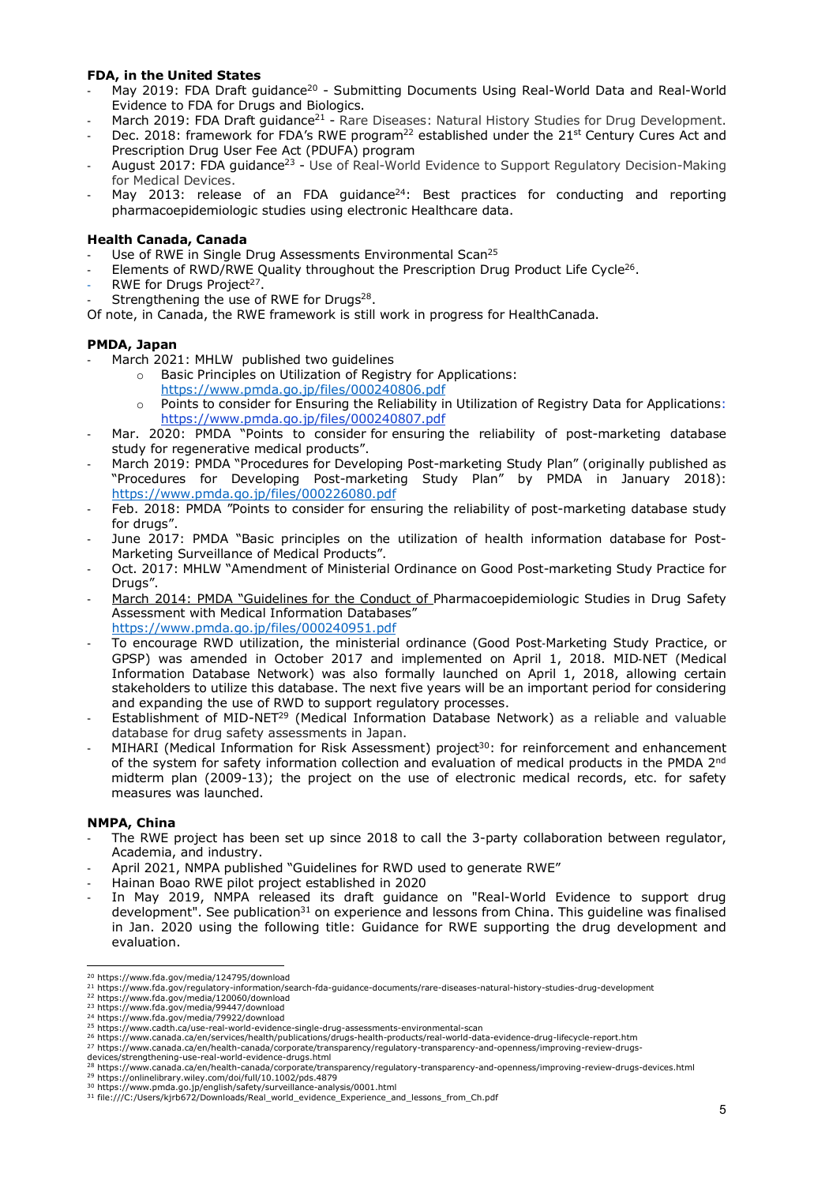## **FDA, in the United States**

- May 2019: FDA Draft guidance<sup>20</sup> Submitting Documents Using Real-World Data and Real-World Evidence to FDA for Drugs and Biologics.
- March 2019: FDA Draft guidance<sup>21</sup> Rare Diseases: Natural History Studies for Drug Development.
- Dec. 2018: framework for FDA's RWE program<sup>22</sup> established under the 21<sup>st</sup> Century Cures Act and Prescription Drug User Fee Act (PDUFA) program
- August 2017: FDA guidance<sup>23</sup> Use of Real-World Evidence to Support Regulatory Decision-Making for Medical Devices.
- May 2013: release of an FDA guidance<sup>24</sup>: Best practices for conducting and reporting pharmacoepidemiologic studies using electronic Healthcare data.

## **Health Canada, Canada**

- Use of RWE in Single Drug Assessments Environmental Scan<sup>25</sup>
- Elements of RWD/RWE Quality throughout the Prescription Drug Product Life Cycle<sup>26</sup>.
- RWE for Drugs Project<sup>27</sup>.
- Strengthening the use of RWE for Drugs<sup>28</sup>.
- Of note, in Canada, the RWE framework is still work in progress for HealthCanada.

## **PMDA, Japan**

- March 2021: MHLW published two guidelines
	- o Basic Principles on Utilization of Registry for Applications:
		- https://www.pmda.go.jp/files/000240806.pdf
	- o Points to consider for Ensuring the Reliability in Utilization of Registry Data for Applications: https://www.pmda.go.jp/files/000240807.pdf
- Mar. 2020: PMDA "Points to consider for ensuring the reliability of post-marketing database study for regenerative medical products".
- March 2019: PMDA "Procedures for Developing Post-marketing Study Plan" (originally published as "Procedures for Developing Post-marketing Study Plan" by PMDA in January 2018): https://www.pmda.go.jp/files/000226080.pdf
- Feb. 2018: PMDA "Points to consider for ensuring the reliability of post-marketing database study for drugs".
- June 2017: PMDA "Basic principles on the utilization of health information database for Post-Marketing Surveillance of Medical Products".
- Oct. 2017: MHLW "Amendment of Ministerial Ordinance on Good Post-marketing Study Practice for Drugs".
- March 2014: PMDA "Guidelines for the Conduct of Pharmacoepidemiologic Studies in Drug Safety Assessment with Medical Information Databases" https://www.pmda.go.jp/files/000240951.pdf
- To encourage RWD utilization, the ministerial ordinance (Good Post-Marketing Study Practice, or GPSP) was amended in October 2017 and implemented on April 1, 2018. MID-NET (Medical Information Database Network) was also formally launched on April 1, 2018, allowing certain stakeholders to utilize this database. The next five years will be an important period for considering and expanding the use of RWD to support regulatory processes.
- Establishment of MID-NET<sup>29</sup> (Medical Information Database Network) as a reliable and valuable database for drug safety assessments in Japan.
- MIHARI (Medical Information for Risk Assessment) project<sup>30</sup>: for reinforcement and enhancement of the system for safety information collection and evaluation of medical products in the PMDA 2<sup>nd</sup> midterm plan (2009-13); the project on the use of electronic medical records, etc. for safety measures was launched.

## **NMPA, China**

- The RWE project has been set up since 2018 to call the 3-party collaboration between regulator, Academia, and industry.
- April 2021, NMPA published "Guidelines for RWD used to generate RWE"
- Hainan Boao RWE pilot project established in 2020
- In May 2019, NMPA released its draft guidance on "Real-World Evidence to support drug development". See publication<sup>31</sup> on experience and lessons from China. This quideline was finalised in Jan. 2020 using the following title: Guidance for RWE supporting the drug development and evaluation.

<sup>20</sup> https://www.fda.gov/media/124795/download<br>21 https://www.fda.gov/regulatory-information/search-fda-guidance-documents/rare-diseases-natural-history-studies-drug-development<br>21 https://www.fda.gov/regulatory-information/

<sup>22</sup> https://www.fda.gov/media/120060/download

<sup>23</sup> https://www.fda.gov/media/99447/download <sup>24</sup> https://www.fda.gov/media/79922/download

<sup>&</sup>lt;sup>25</sup> https://www.cadth.ca/use-real-world-evidence-single-drug-assessments-environmental-scan<br><sup>26</sup> https://www.canada.ca/en/services/health/publications/drugs-health-products/real-world-data-evidence-drug-lifecycle-report.h

<sup>27</sup> https://www.canada.ca/en/health-canada/corporate/transparency/regulatory-transparency-and-openness/improving-review-drugs-

<sup>28</sup> https://www.canada.ca/en/health-canada/corporate/transparency/regulatory-transparency-and-openness/improving-review-drugs-devices.html

<sup>&</sup>lt;sup>29</sup> https://onlinelibrary.wiley.com/doi/full/10.1002/pds.4879<br><sup>30</sup> https://www.pmda.go.jp/english/safety/surveillance-analysis/0001.html<br><sup>31</sup> file:///C:/Users/kjrb672/Downloads/Real\_world\_evidence\_Experience\_and\_lessons\_f